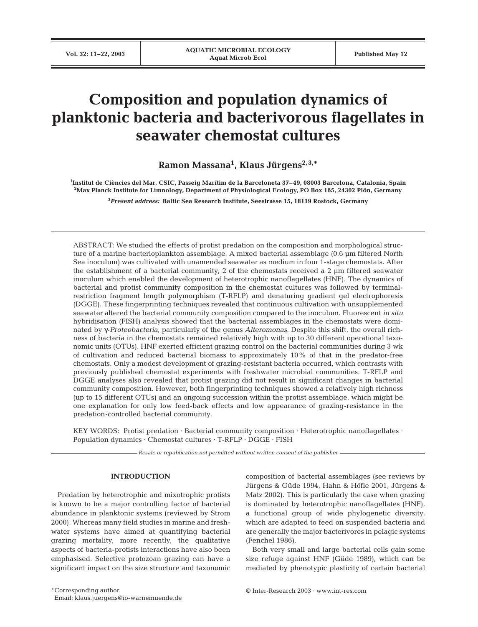# **Composition and population dynamics of planktonic bacteria and bacterivorous flagellates in seawater chemostat cultures**

**Ramon Massana1 , Klaus Jürgens2, 3,\***

**1 Institut de Ciències del Mar, CSIC, Passeig Marítim de la Barceloneta 37–49, 08003 Barcelona, Catalonia, Spain 2 Max Planck Institute for Limnology, Department of Physiological Ecology, PO Box 165, 24302 Plön, Germany**

**3** *Present address:* **Baltic Sea Research Institute, Seestrasse 15, 18119 Rostock, Germany**

ABSTRACT: We studied the effects of protist predation on the composition and morphological structure of a marine bacterioplankton assemblage. A mixed bacterial assemblage (0.6 µm filtered North Sea inoculum) was cultivated with unamended seawater as medium in four 1-stage chemostats. After the establishment of a bacterial community, 2 of the chemostats received a 2 µm filtered seawater inoculum which enabled the development of heterotrophic nanoflagellates (HNF). The dynamics of bacterial and protist community composition in the chemostat cultures was followed by terminalrestriction fragment length polymorphism (T-RFLP) and denaturing gradient gel electrophoresis (DGGE). These fingerprinting techniques revealed that continuous cultivation with unsupplemented seawater altered the bacterial community composition compared to the inoculum. Fluorescent *in situ* hybridisation (FISH) analysis showed that the bacterial assemblages in the chemostats were dominated by γ-*Proteobacteria*, particularly of the genus *Alteromonas*. Despite this shift, the overall richness of bacteria in the chemostats remained relatively high with up to 30 different operational taxonomic units (OTUs). HNF exerted efficient grazing control on the bacterial communities during 3 wk of cultivation and reduced bacterial biomass to approximately 10% of that in the predator-free chemostats. Only a modest development of grazing-resistant bacteria occurred, which contrasts with previously published chemostat experiments with freshwater microbial communities. T-RFLP and DGGE analyses also revealed that protist grazing did not result in significant changes in bacterial community composition. However, both fingerprinting techniques showed a relatively high richness (up to 15 different OTUs) and an ongoing succession within the protist assemblage, which might be one explanation for only low feed-back effects and low appearance of grazing-resistance in the predation-controlled bacterial community.

KEY WORDS: Protist predation · Bacterial community composition · Heterotrophic nanoflagellates · Population dynamics · Chemostat cultures · T-RFLP · DGGE · FISH

*Resale or republication not permitted without written consent of the publisher*

# **INTRODUCTION**

Predation by heterotrophic and mixotrophic protists is known to be a major controlling factor of bacterial abundance in planktonic systems (reviewed by Strom 2000). Whereas many field studies in marine and freshwater systems have aimed at quantifying bacterial grazing mortality, more recently, the qualitative aspects of bacteria-protists interactions have also been emphasised. Selective protozoan grazing can have a significant impact on the size structure and taxonomic

composition of bacterial assemblages (see reviews by Jürgens & Güde 1994, Hahn & Höfle 2001, Jürgens & Matz 2002). This is particularly the case when grazing is dominated by heterotrophic nanoflagellates (HNF), a functional group of wide phylogenetic diversity, which are adapted to feed on suspended bacteria and are generally the major bacterivores in pelagic systems (Fenchel 1986).

Both very small and large bacterial cells gain some size refuge against HNF (Güde 1989), which can be mediated by phenotypic plasticity of certain bacterial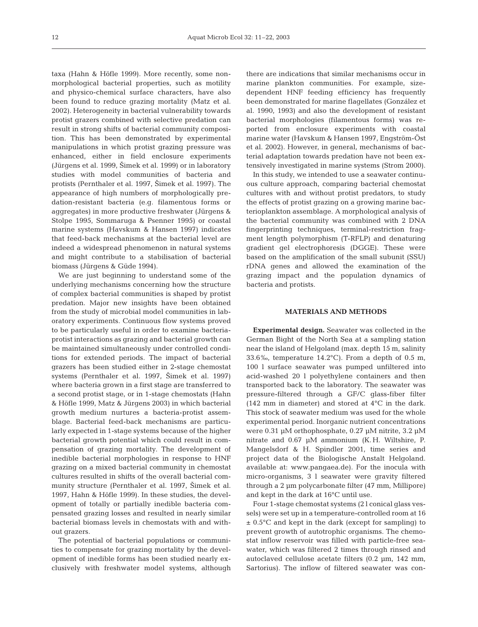taxa (Hahn & Höfle 1999). More recently, some nonmorphological bacterial properties, such as motility and physico-chemical surface characters, have also been found to reduce grazing mortality (Matz et al. 2002). Heterogeneity in bacterial vulnerability towards protist grazers combined with selective predation can result in strong shifts of bacterial community composition. This has been demonstrated by experimental manipulations in which protist grazing pressure was enhanced, either in field enclosure experiments (Jürgens et al. 1999, 2imek et al. 1999) or in laboratory studies with model communities of bacteria and protists (Pernthaler et al. 1997, Šimek et al. 1997). The appearance of high numbers of morphologically predation-resistant bacteria (e.g. filamentous forms or aggregates) in more productive freshwater (Jürgens & Stolpe 1995, Sommaruga & Psenner 1995) or coastal marine systems (Havskum & Hansen 1997) indicates that feed-back mechanisms at the bacterial level are indeed a widespread phenomenon in natural systems and might contribute to a stabilisation of bacterial biomass (Jürgens & Güde 1994).

We are just beginning to understand some of the underlying mechanisms concerning how the structure of complex bacterial communities is shaped by protist predation. Major new insights have been obtained from the study of microbial model communities in laboratory experiments. Continuous flow systems proved to be particularly useful in order to examine bacteriaprotist interactions as grazing and bacterial growth can be maintained simultaneously under controlled conditions for extended periods. The impact of bacterial grazers has been studied either in 2-stage chemostat systems (Pernthaler et al. 1997, Šimek et al. 1997) where bacteria grown in a first stage are transferred to a second protist stage, or in 1-stage chemostats (Hahn & Höfle 1999, Matz & Jürgens 2003) in which bacterial growth medium nurtures a bacteria-protist assemblage. Bacterial feed-back mechanisms are particularly expected in 1-stage systems because of the higher bacterial growth potential which could result in compensation of grazing mortality. The development of inedible bacterial morphologies in response to HNF grazing on a mixed bacterial community in chemostat cultures resulted in shifts of the overall bacterial community structure (Pernthaler et al. 1997, Šimek et al. 1997, Hahn & Höfle 1999). In these studies, the development of totally or partially inedible bacteria compensated grazing losses and resulted in nearly similar bacterial biomass levels in chemostats with and without grazers.

The potential of bacterial populations or communities to compensate for grazing mortality by the development of inedible forms has been studied nearly exclusively with freshwater model systems, although

there are indications that similar mechanisms occur in marine plankton communities. For example, sizedependent HNF feeding efficiency has frequently been demonstrated for marine flagellates (González et al. 1990, 1993) and also the development of resistant bacterial morphologies (filamentous forms) was reported from enclosure experiments with coastal marine water (Havskum & Hansen 1997, Engström-Öst et al. 2002). However, in general, mechanisms of bacterial adaptation towards predation have not been extensively investigated in marine systems (Strom 2000).

In this study, we intended to use a seawater continuous culture approach, comparing bacterial chemostat cultures with and without protist predators, to study the effects of protist grazing on a growing marine bacterioplankton assemblage. A morphological analysis of the bacterial community was combined with 2 DNA fingerprinting techniques, terminal-restriction fragment length polymorphism (T-RFLP) and denaturing gradient gel electrophoresis (DGGE). These were based on the amplification of the small subunit (SSU) rDNA genes and allowed the examination of the grazing impact and the population dynamics of bacteria and protists.

## **MATERIALS AND METHODS**

**Experimental design.** Seawater was collected in the German Bight of the North Sea at a sampling station near the island of Helgoland (max. depth 15 m, salinity 33.6‰, temperature 14.2°C). From a depth of 0.5 m, 100 l surface seawater was pumped unfiltered into acid-washed 20 l polyethylene containers and then transported back to the laboratory. The seawater was pressure-filtered through a GF/C glass-fiber filter (142 mm in diameter) and stored at 4°C in the dark. This stock of seawater medium was used for the whole experimental period. Inorganic nutrient concentrations were 0.31 µM orthophosphate, 0.27 µM nitrite, 3.2 µM nitrate and 0.67 µM ammonium (K. H. Wiltshire, P. Mangelsdorf & H. Spindler 2001, time series and project data of the Biologische Anstalt Helgoland. available at: www.pangaea.de). For the inocula with micro-organisms, 3 l seawater were gravity filtered through a 2 µm polycarbonate filter (47 mm, Millipore) and kept in the dark at 16°C until use.

Four 1-stage chemostat systems (2 l conical glass vessels) were set up in a temperature-controlled room at 16  $\pm$  0.5 $^{\circ}$ C and kept in the dark (except for sampling) to prevent growth of autotrophic organisms. The chemostat inflow reservoir was filled with particle-free seawater, which was filtered 2 times through rinsed and autoclaved cellulose acetate filters (0.2 µm, 142 mm, Sartorius). The inflow of filtered seawater was con-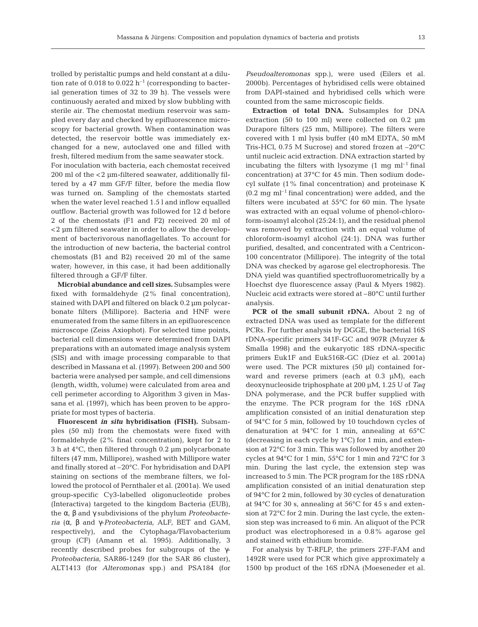trolled by peristaltic pumps and held constant at a dilution rate of 0.018 to 0.022  $h^{-1}$  (corresponding to bacterial generation times of 32 to 39 h). The vessels were continuously aerated and mixed by slow bubbling with sterile air. The chemostat medium reservoir was sampled every day and checked by epifluorescence microscopy for bacterial growth. When contamination was detected, the reservoir bottle was immediately exchanged for a new, autoclaved one and filled with fresh, filtered medium from the same seawater stock.

For inoculation with bacteria, each chemostat received 200 ml of the <2 µm-filtered seawater, additionally filtered by a 47 mm GF/F filter, before the media flow was turned on. Sampling of the chemostats started when the water level reached 1.5 l and inflow equalled outflow. Bacterial growth was followed for 12 d before 2 of the chemostats (F1 and F2) received 20 ml of <2 µm filtered seawater in order to allow the development of bacterivorous nanoflagellates. To account for the introduction of new bacteria, the bacterial control chemostats (B1 and B2) received 20 ml of the same water; however, in this case, it had been additionally filtered through a GF/F filter.

**Microbial abundance and cell sizes.** Subsamples were fixed with formaldehyde (2% final concentration), stained with DAPI and filtered on black 0.2 µm polycarbonate filters (Millipore). Bacteria and HNF were enumerated from the same filters in an epifluorescence microscope (Zeiss Axiophot). For selected time points, bacterial cell dimensions were determined from DAPI preparations with an automated image analysis system (SIS) and with image processing comparable to that described in Massana et al. (1997). Between 200 and 500 bacteria were analysed per sample, and cell dimensions (length, width, volume) were calculated from area and cell perimeter according to Algorithm 3 given in Massana et al. (1997), which has been proven to be appropriate for most types of bacteria.

**Fluorescent** *in situ* **hybridisation (FISH).** Subsamples (50 ml) from the chemostats were fixed with formaldehyde (2% final concentration), kept for 2 to 3 h at 4°C, then filtered through 0.2 µm polycarbonate filters (47 mm, Millipore), washed with Millipore water and finally stored at –20°C. For hybridisation and DAPI staining on sections of the membrane filters, we followed the protocol of Pernthaler et al. (2001a). We used group-specific Cy3-labelled oligonucleotide probes (Interactiva) targeted to the kingdom Bacteria (EUB), the α, β and γ subdivisions of the phylum *Proteobacteria* (α, β and γ-*Proteobacteria*, ALF, BET and GAM, respectively), and the Cytophaga/Flavobacterium group (CF) (Amann et al. 1995). Additionally, 3 recently described probes for subgroups of the γ-*Proteobacteria*, SAR86-1249 (for the SAR 86 cluster), ALT1413 (for *Alteromonas* spp.) and PSA184 (for

*Pseudoalteromonas* spp.), were used (Eilers et al. 2000b). Percentages of hybridised cells were obtained from DAPI-stained and hybridised cells which were counted from the same microscopic fields.

**Extraction of total DNA.** Subsamples for DNA extraction (50 to 100 ml) were collected on 0.2 µm Durapore filters (25 mm, Millipore). The filters were covered with 1 ml lysis buffer (40 mM EDTA, 50 mM Tris-HCl, 0.75 M Sucrose) and stored frozen at –20°C until nucleic acid extraction. DNA extraction started by incubating the filters with lysozyme  $(1 \text{ mg ml}^{-1} \text{final})$ concentration) at 37°C for 45 min. Then sodium dodecyl sulfate (1% final concentration) and proteinase K  $(0.2 \text{ mg ml}^{-1}$  final concentration) were added, and the filters were incubated at 55°C for 60 min. The lysate was extracted with an equal volume of phenol-chloroform-isoamyl alcohol (25:24:1), and the residual phenol was removed by extraction with an equal volume of chloroform-isoamyl alcohol (24:1). DNA was further purified, desalted, and concentrated with a Centricon-100 concentrator (Millipore). The integrity of the total DNA was checked by agarose gel electrophoresis. The DNA yield was quantified spectrofluorometrically by a Hoechst dye fluorescence assay (Paul & Myers 1982). Nucleic acid extracts were stored at –80°C until further analysis.

**PCR of the small subunit rDNA.** About 2 ng of extracted DNA was used as template for the different PCRs. For further analysis by DGGE, the bacterial 16S rDNA-specific primers 341F-GC and 907R (Muyzer & Smalla 1998) and the eukaryotic 18S rDNA-specific primers Euk1F and Euk516R-GC (Díez et al. 2001a) were used. The PCR mixtures (50 µl) contained forward and reverse primers (each at 0.3 µM), each deoxynucleoside triphosphate at 200 µM, 1.25 U of *Taq* DNA polymerase, and the PCR buffer supplied with the enzyme. The PCR program for the 16S rDNA amplification consisted of an initial denaturation step of 94°C for 5 min, followed by 10 touchdown cycles of denaturation at 94°C for 1 min, annealing at 65°C (decreasing in each cycle by 1°C) for 1 min, and extension at 72°C for 3 min. This was followed by another 20 cycles at 94°C for 1 min, 55°C for 1 min and 72°C for 3 min. During the last cycle, the extension step was increased to 5 min. The PCR program for the 18S rDNA amplification consisted of an initial denaturation step of 94°C for 2 min, followed by 30 cycles of denaturation at 94°C for 30 s, annealing at 56°C for 45 s and extension at 72°C for 2 min. During the last cycle, the extension step was increased to 6 min. An aliquot of the PCR product was electrophoresed in a 0.8% agarose gel and stained with ethidium bromide.

For analysis by T-RFLP, the primers 27F-FAM and 1492R were used for PCR which give approximately a 1500 bp product of the 16S rDNA (Moeseneder et al.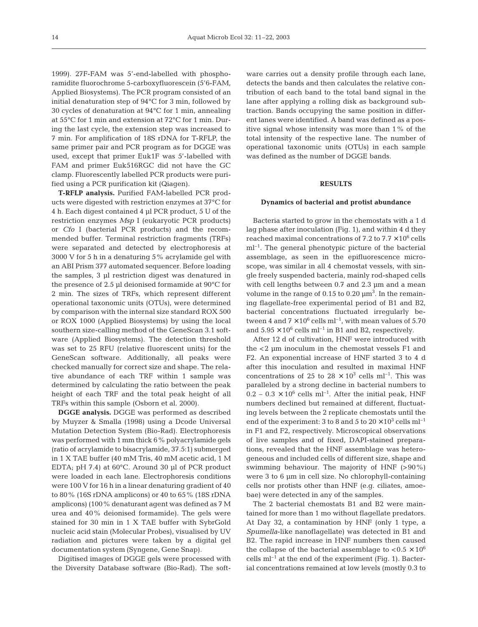1999). 27F-FAM was 5'-end-labelled with phosphoramidite fluorochrome 5-carboxyfluorescein (5'6-FAM, Applied Biosystems). The PCR program consisted of an initial denaturation step of 94°C for 3 min, followed by 30 cycles of denaturation at 94°C for 1 min, annealing at 55°C for 1 min and extension at 72°C for 1 min. During the last cycle, the extension step was increased to 7 min. For amplification of 18S rDNA for T-RFLP, the same primer pair and PCR program as for DGGE was used, except that primer Euk1F was 5'-labelled with FAM and primer Euk516RGC did not have the GC clamp. Fluorescently labelled PCR products were purified using a PCR purification kit (Qiagen).

**T-RFLP analysis.** Purified FAM-labelled PCR products were digested with restriction enzymes at 37°C for 4 h. Each digest contained 4 µl PCR product, 5 U of the restriction enzymes *Msp* I (eukaryotic PCR products) or *Cfo* I (bacterial PCR products) and the recommended buffer. Terminal restriction fragments (TRFs) were separated and detected by electrophoresis at 3000 V for 5 h in a denaturing 5% acrylamide gel with an ABI Prism 377 automated sequencer. Before loading the samples, 3 µl restriction digest was denatured in the presence of 2.5 µl deionised formamide at 90°C for 2 min. The sizes of TRFs, which represent different operational taxonomic units (OTUs), were determined by comparison with the internal size standard ROX 500 or ROX 1000 (Applied Biosystems) by using the local southern size-calling method of the GeneScan 3.1 software (Applied Biosystems). The detection threshold was set to 25 RFU (relative fluorescent units) for the GeneScan software. Additionally, all peaks were checked manually for correct size and shape. The relative abundance of each TRF within 1 sample was determined by calculating the ratio between the peak height of each TRF and the total peak height of all TRFs within this sample (Osborn et al. 2000).

**DGGE analysis.** DGGE was performed as described by Muyzer & Smalla (1998) using a Dcode Universal Mutation Detection System (Bio-Rad). Electrophoresis was performed with 1 mm thick 6% polyacrylamide gels (ratio of acrylamide to bisacrylamide, 37.5:1) submerged in 1 X TAE buffer (40 mM Tris, 40 mM acetic acid, 1 M EDTA; pH 7.4) at 60°C. Around 30 µl of PCR product were loaded in each lane. Electrophoresis conditions were 100 V for 16 h in a linear denaturing gradient of 40 to 80% (16S rDNA amplicons) or 40 to 65% (18S rDNA amplicons) (100% denaturant agent was defined as 7 M urea and 40% deionised formamide). The gels were stained for 30 min in 1 X TAE buffer with SybrGold nucleic acid stain (Molecular Probes), visualised by UV radiation and pictures were taken by a digital gel documentation system (Syngene, Gene Snap).

Digitised images of DGGE gels were processed with the Diversity Database software (Bio-Rad). The soft-

ware carries out a density profile through each lane, detects the bands and then calculates the relative contribution of each band to the total band signal in the lane after applying a rolling disk as background subtraction. Bands occupying the same position in different lanes were identified. A band was defined as a positive signal whose intensity was more than 1% of the total intensity of the respective lane. The number of operational taxonomic units (OTUs) in each sample was defined as the number of DGGE bands.

## **RESULTS**

#### **Dynamics of bacterial and protist abundance**

Bacteria started to grow in the chemostats with a 1 d lag phase after inoculation (Fig. 1), and within 4 d they reached maximal concentrations of 7.2 to  $7.7 \times 10^6$  cells  $ml<sup>-1</sup>$ . The general phenotypic picture of the bacterial assemblage, as seen in the epifluorescence microscope, was similar in all 4 chemostat vessels, with single freely suspended bacteria, mainly rod-shaped cells with cell lengths between 0.7 and 2.3  $\mu$ m and a mean volume in the range of  $0.15$  to  $0.20 \mu m^3$ . In the remaining flagellate-free experimental period of B1 and B2, bacterial concentrations fluctuated irregularly between 4 and  $7 \times 10^6$  cells ml<sup>-1</sup>, with mean values of 5.70 and  $5.95 \times 10^6$  cells ml<sup>-1</sup> in B1 and B2, respectively.

After 12 d of cultivation, HNF were introduced with the <2 µm inoculum in the chemostat vessels F1 and F2. An exponential increase of HNF started 3 to 4 d after this inoculation and resulted in maximal HNF concentrations of 25 to 28  $\times$  10<sup>3</sup> cells ml<sup>-1</sup>. This was paralleled by a strong decline in bacterial numbers to  $0.2 - 0.3 \times 10^6$  cells ml<sup>-1</sup>. After the initial peak, HNF numbers declined but remained at different, fluctuating levels between the 2 replicate chemostats until the end of the experiment: 3 to 8 and 5 to  $20 \times 10^3$  cells ml<sup>-1</sup> in F1 and F2, respectively. Microscopical observations of live samples and of fixed, DAPI-stained preparations, revealed that the HNF assemblage was heterogeneous and included cells of different size, shape and swimming behaviour. The majority of HNF (>90%) were 3 to 6  $\mu$ m in cell size. No chlorophyll-containing cells nor protists other than HNF (e.g. ciliates, amoebae) were detected in any of the samples.

The 2 bacterial chemostats B1 and B2 were maintained for more than 1 mo without flagellate predators. At Day 32, a contamination by HNF (only 1 type, a *Spumella*-like nanoflagellate) was detected in B1 and B2. The rapid increase in HNF numbers then caused the collapse of the bacterial assemblage to  $< 0.5 \times 10^6$ cells  $ml^{-1}$  at the end of the experiment (Fig. 1). Bacterial concentrations remained at low levels (mostly 0.3 to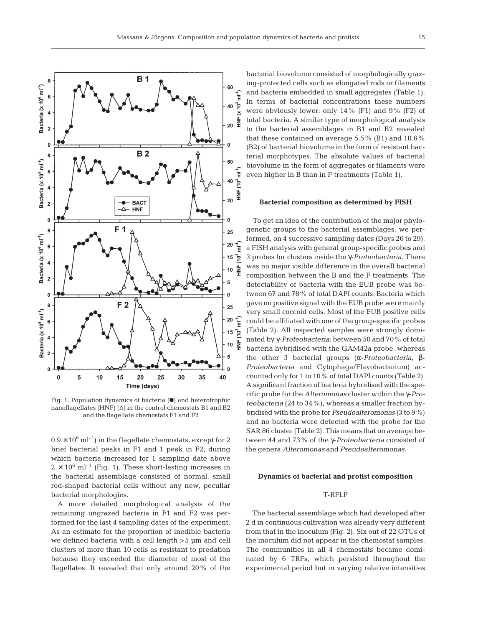

Fig. 1. Population dynamics of bacteria  $(\bullet)$  and heterotrophic nanoflagellates (HNF)  $(\Delta)$  in the control chemostats B1 and B2 and the flagellate chemostats F1 and F2

 $0.9 \times 10^6$  ml<sup>-1</sup>) in the flagellate chemostats, except for 2 brief bacterial peaks in F1 and 1 peak in F2, during which bacteria increased for 1 sampling date above  $2 \times 10^6$  ml<sup>-1</sup> (Fig. 1). These short-lasting increases in the bacterial assemblage consisted of normal, small rod-shaped bacterial cells without any new, peculiar bacterial morphologies.

A more detailed morphological analysis of the remaining ungrazed bacteria in F1 and F2 was performed for the last 4 sampling dates of the experiment. As an estimate for the proportion of inedible bacteria we defined bacteria with a cell length >5 µm and cell clusters of more than 10 cells as resistant to predation because they exceeded the diameter of most of the flagellates. It revealed that only around 20% of the

bacterial biovolume consisted of morphologically grazing-protected cells such as elongated rods or filaments and bacteria embedded in small aggregates (Table 1). In terms of bacterial concentrations these numbers were obviously lower: only 14% (F1) and 9% (F2) of total bacteria. A similar type of morphological analysis to the bacterial assemblages in B1 and B2 revealed that these contained on average 5.5% (B1) and 10.6% (B2) of bacterial biovolume in the form of resistant bacterial morphotypes. The absolute values of bacterial biovolume in the form of aggregates or filaments were even higher in B than in F treatments (Table 1).

#### **Bacterial composition as determined by FISH**

To get an idea of the contribution of the major phylogenetic groups to the bacterial assemblages, we performed, on 4 successive sampling dates (Days 26 to 29), a FISH analysis with general group-specific probes and 3 probes for clusters inside the γ-*Proteobacteria*. There was no major visible difference in the overall bacterial composition between the B and the F treatments. The detectability of bacteria with the EUB probe was between 67 and 78% of total DAPI counts. Bacteria which gave no positive signal with the EUB probe were mainly very small coccoid cells. Most of the EUB positive cells could be affiliated with one of the group-specific probes (Table 2). All inspected samples were strongly dominated by γ-*Proteobacteria*: between 50 and 70% of total bacteria hybridised with the GAM42a probe, whereas the other 3 bacterial groups (α-*Proteobacteria*, β-*Proteobacteria* and Cytophaga/Flavobacterium) accounted only for 1 to 10% of total DAPI counts (Table 2). A significant fraction of bacteria hybridised with the specific probe for the *Alteromonas* cluster within the γ-*Proteobacteria* (24 to 34%), whereas a smaller fraction hybridised with the probe for *Pseudoalteromonas* (3 to 9%) and no bacteria were detected with the probe for the SAR 86 cluster (Table 2). This means that on average between 44 and 73% of the γ-*Proteobacteria* consisted of the genera *Alteromonas* and *Pseudoalteromonas*.

### **Dynamics of bacterial and protist composition**

# T-RFLP

The bacterial assemblage which had developed after 2 d in continuous cultivation was already very different from that in the inoculum (Fig. 2). Six out of 22 OTUs of the inoculum did not appear in the chemostat samples. The communities in all 4 chemostats became dominated by 6 TRFs, which persisted throughout the experimental period but in varying relative intensities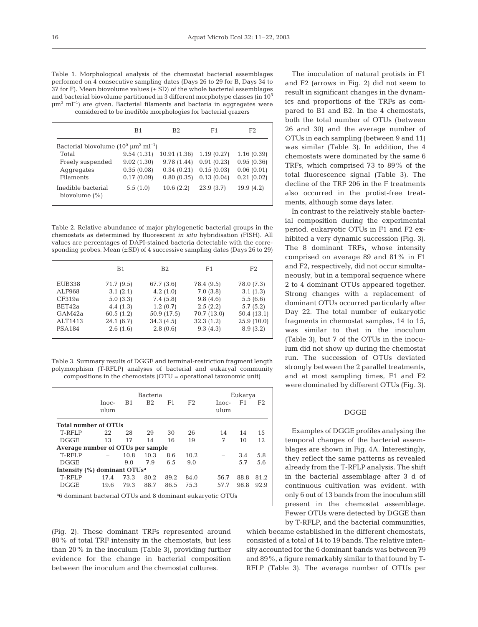Table 1. Morphological analysis of the chemostat bacterial assemblages performed on 4 consecutive sampling dates (Days 26 to 29 for B, Days 34 to 37 for F). Mean biovolume values  $(\pm SD)$  of the whole bacterial assemblages and bacterial biovolume partitioned in 3 different morphotype classes (in  $10^5$  $\mu$ m<sup>3</sup> ml<sup>-1</sup>) are given. Bacterial filaments and bacteria in aggregates were considered to be inedible morphologies for bacterial grazers

|                                                             | B <sub>1</sub> | B <sub>2</sub> | F <sub>1</sub> | F <sub>2</sub> |  |  |  |
|-------------------------------------------------------------|----------------|----------------|----------------|----------------|--|--|--|
| Bacterial biovolume $(10^5 \,\mathrm{\upmu m^3 \,ml^{-1}})$ |                |                |                |                |  |  |  |
| Total                                                       | 9.54(1.31)     | 10.91 (1.36)   | 1.19(0.27)     | 1.16(0.39)     |  |  |  |
| Freely suspended                                            | 9.02(1.30)     | 9.78(1.44)     | 0.91(0.23)     | 0.95(0.36)     |  |  |  |
| Aggregates                                                  | 0.35(0.08)     | 0.34(0.21)     | 0.15(0.03)     | 0.06(0.01)     |  |  |  |
| Filaments                                                   | 0.17(0.09)     | 0.80(0.35)     | 0.13(0.04)     | 0.21(0.02)     |  |  |  |
| Inedible bacterial<br>biovolume $(\%)$                      | 5.5(1.0)       | 10.6(2.2)      | 23.9(3.7)      | 19.9(4.2)      |  |  |  |

Table 2. Relative abundance of major phylogenetic bacterial groups in the chemostats as determined by fluorescent *in situ* hybridisation (FISH). All values are percentages of DAPI-stained bacteria detectable with the corresponding probes. Mean  $(\pm SD)$  of 4 successive sampling dates (Days 26 to 29)

|               | B <sub>1</sub> | B <sub>2</sub> | F <sub>1</sub> | F <sub>2</sub> |
|---------------|----------------|----------------|----------------|----------------|
| <b>EUB338</b> | 71.7 (9.5)     | 67.7 (3.6)     | 78.4 (9.5)     | 78.0 (7.3)     |
| ALF968        | 3.1(2.1)       | 4.2(1.0)       | 7.0(3.8)       | 3.1(1.3)       |
| CF319a        | 5.0(3.3)       | 7.4(5.8)       | 9.8(4.6)       | 5.5(6.6)       |
| BET42a        | 4.4(1.3)       | 1.2(0.7)       | 2.5(2.2)       | 5.7(5.2)       |
| GAM42a        | 60.5(1.2)      | 50.9 (17.5)    | 70.7 (13.0)    | 50.4(13.1)     |
| ALT1413       | 24.1(6.7)      | 34.3(4.5)      | 32.3(1.2)      | 25.9(10.0)     |
| <b>PSA184</b> | 2.6(1.6)       | 2.8(0.6)       | 9.3(4.3)       | 8.9(3.2)       |

Table 3. Summary results of DGGE and terminal-restriction fragment length polymorphism (T-RFLP) analyses of bacterial and eukaryal community compositions in the chemostats (OTU = operational taxonomic unit)

|                                                                       |               | Bacteria ————  |                |      |                |                 | —— Eukarya —— |      |  |
|-----------------------------------------------------------------------|---------------|----------------|----------------|------|----------------|-----------------|---------------|------|--|
|                                                                       | Inoc-<br>ulum | B <sub>1</sub> | B <sub>2</sub> | F1   | F <sub>2</sub> | $Inoc-$<br>ulum | F1            | F2   |  |
| <b>Total number of OTUs</b>                                           |               |                |                |      |                |                 |               |      |  |
| T-RFLP                                                                | 22            | 28             | 29             | 30   | 26             | 14              | 14            | 15   |  |
| <b>DGGE</b>                                                           | 13            | 17             | 14             | 16   | 19             | 7               | 10            | 12   |  |
| Average number of OTUs per sample                                     |               |                |                |      |                |                 |               |      |  |
| T-RFLP                                                                |               | 10.8           | 10.3           | 8.6  | 10.2           |                 | 3.4           | 5.8  |  |
| <b>DGGE</b>                                                           |               | 9.0            | 7.9            | 6.5  | 9.0            |                 | 5.7           | 5.6  |  |
| Intensity $(\%)$ dominant OTUs <sup>a</sup>                           |               |                |                |      |                |                 |               |      |  |
| T-RFLP                                                                | 17.4          | 73.3           | 80.2           | 89.2 | 84.0           | 56.7            | 88.8          | 81.2 |  |
| <b>DGGE</b>                                                           | 19.6          | 79.3           | 88.7           | 86.5 | 75.3           | 57.7            | 98.8          | 92.9 |  |
| <sup>a</sup> 6 dominant bacterial OTUs and 8 dominant eukaryotic OTUs |               |                |                |      |                |                 |               |      |  |

(Fig. 2). These dominant TRFs represented around 80% of total TRF intensity in the chemostats, but less than 20% in the inoculum (Table 3), providing further evidence for the change in bacterial composition between the inoculum and the chemostat cultures.

The inoculation of natural protists in F1 and F2 (arrows in Fig. 2) did not seem to result in significant changes in the dynamics and proportions of the TRFs as compared to B1 and B2. In the 4 chemostats, both the total number of OTUs (between 26 and 30) and the average number of OTUs in each sampling (between 9 and 11) was similar (Table 3). In addition, the 4 chemostats were dominated by the same 6 TRFs, which comprised 73 to 89% of the total fluorescence signal (Table 3). The decline of the TRF 206 in the F treatments also occurred in the protist-free treatments, although some days later.

In contrast to the relatively stable bacterial composition during the experimental period, eukaryotic OTUs in F1 and F2 exhibited a very dynamic succession (Fig. 3). The 8 dominant TRFs, whose intensity comprised on average 89 and 81% in F1 and F2, respectively, did not occur simultaneously, but in a temporal sequence where 2 to 4 dominant OTUs appeared together. Strong changes with a replacement of dominant OTUs occurred particularly after Day 22. The total number of eukaryotic fragments in chemostat samples, 14 to 15, was similar to that in the inoculum (Table 3), but 7 of the OTUs in the inoculum did not show up during the chemostat run. The succession of OTUs deviated strongly between the 2 parallel treatments, and at most sampling times, F1 and F2 were dominated by different OTUs (Fig. 3).

# DGGE

Examples of DGGE profiles analysing the temporal changes of the bacterial assemblages are shown in Fig. 4A. Interestingly, they reflect the same patterns as revealed already from the T-RFLP analysis. The shift in the bacterial assemblage after 3 d of continuous cultivation was evident, with only 6 out of 13 bands from the inoculum still present in the chemostat assemblage. Fewer OTUs were detected by DGGE than by T-RFLP, and the bacterial communities,

which became established in the different chemostats, consisted of a total of 14 to 19 bands. The relative intensity accounted for the 6 dominant bands was between 79 and 89%, a figure remarkably similar to that found by T-RFLP (Table 3). The average number of OTUs per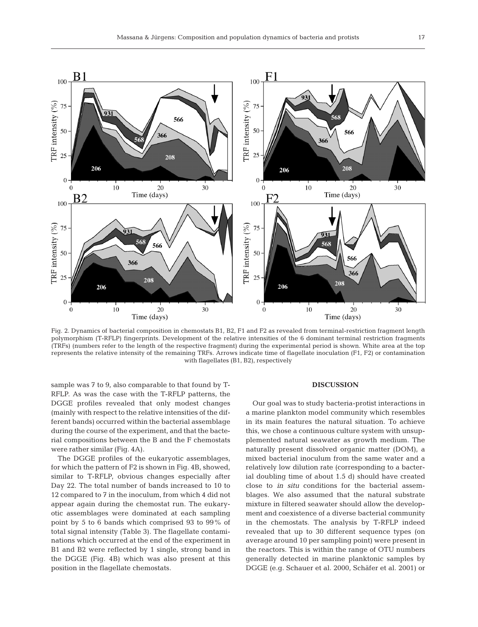

Fig. 2. Dynamics of bacterial composition in chemostats B1, B2, F1 and F2 as revealed from terminal-restriction fragment length polymorphism (T-RFLP) fingerprints. Development of the relative intensities of the 6 dominant terminal restriction fragments (TRFs) (numbers refer to the length of the respective fragment) during the experimental period is shown. White area at the top represents the relative intensity of the remaining TRFs. Arrows indicate time of flagellate inoculation (F1, F2) or contamination with flagellates (B1, B2), respectively

sample was 7 to 9, also comparable to that found by T-RFLP. As was the case with the T-RFLP patterns, the DGGE profiles revealed that only modest changes (mainly with respect to the relative intensities of the different bands) occurred within the bacterial assemblage during the course of the experiment, and that the bacterial compositions between the B and the F chemostats were rather similar (Fig. 4A).

The DGGE profiles of the eukaryotic assemblages, for which the pattern of F2 is shown in Fig. 4B, showed, similar to T-RFLP, obvious changes especially after Day 22. The total number of bands increased to 10 to 12 compared to 7 in the inoculum, from which 4 did not appear again during the chemostat run. The eukaryotic assemblages were dominated at each sampling point by 5 to 6 bands which comprised 93 to 99% of total signal intensity (Table 3). The flagellate contaminations which occurred at the end of the experiment in B1 and B2 were reflected by 1 single, strong band in the DGGE (Fig. 4B) which was also present at this position in the flagellate chemostats.

#### **DISCUSSION**

Our goal was to study bacteria-protist interactions in a marine plankton model community which resembles in its main features the natural situation. To achieve this, we chose a continuous culture system with unsupplemented natural seawater as growth medium. The naturally present dissolved organic matter (DOM), a mixed bacterial inoculum from the same water and a relatively low dilution rate (corresponding to a bacterial doubling time of about 1.5 d) should have created close to *in situ* conditions for the bacterial assemblages. We also assumed that the natural substrate mixture in filtered seawater should allow the development and coexistence of a diverse bacterial community in the chemostats. The analysis by T-RFLP indeed revealed that up to 30 different sequence types (on average around 10 per sampling point) were present in the reactors. This is within the range of OTU numbers generally detected in marine planktonic samples by DGGE (e.g. Schauer et al. 2000, Schäfer et al. 2001) or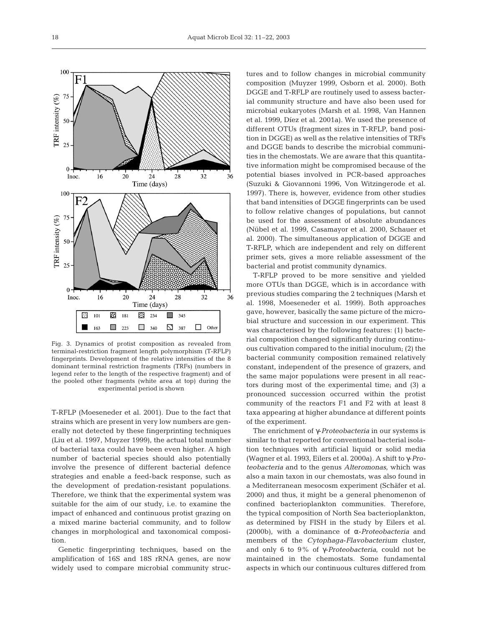

Fig. 3. Dynamics of protist composition as revealed from terminal-restriction fragment length polymorphism (T-RFLP) fingerprints. Development of the relative intensities of the 8 dominant terminal restriction fragments (TRFs) (numbers in legend refer to the length of the respective fragment) and of the pooled other fragments (white area at top) during the experimental period is shown

T-RFLP (Moeseneder et al. 2001). Due to the fact that strains which are present in very low numbers are generally not detected by these fingerprinting techniques (Liu et al. 1997, Muyzer 1999), the actual total number of bacterial taxa could have been even higher. A high number of bacterial species should also potentially involve the presence of different bacterial defence strategies and enable a feed-back response, such as the development of predation-resistant populations. Therefore, we think that the experimental system was suitable for the aim of our study, i.e. to examine the impact of enhanced and continuous protist grazing on a mixed marine bacterial community, and to follow changes in morphological and taxonomical composition.

Genetic fingerprinting techniques, based on the amplification of 16S and 18S rRNA genes, are now widely used to compare microbial community structures and to follow changes in microbial community composition (Muyzer 1999, Osborn et al. 2000). Both DGGE and T-RFLP are routinely used to assess bacterial community structure and have also been used for microbial eukaryotes (Marsh et al. 1998, Van Hannen et al. 1999, Díez et al. 2001a). We used the presence of different OTUs (fragment sizes in T-RFLP, band position in DGGE) as well as the relative intensities of TRFs and DGGE bands to describe the microbial communities in the chemostats. We are aware that this quantitative information might be compromised because of the potential biases involved in PCR-based approaches (Suzuki & Giovannoni 1996, Von Witzingerode et al. 1997). There is, however, evidence from other studies that band intensities of DGGE fingerprints can be used to follow relative changes of populations, but cannot be used for the assessment of absolute abundances (Nübel et al. 1999, Casamayor et al. 2000, Schauer et al. 2000). The simultaneous application of DGGE and T-RFLP, which are independent and rely on different primer sets, gives a more reliable assessment of the bacterial and protist community dynamics.

T-RFLP proved to be more sensitive and yielded more OTUs than DGGE, which is in accordance with previous studies comparing the 2 techniques (Marsh et al. 1998, Moeseneder et al. 1999). Both approaches gave, however, basically the same picture of the microbial structure and succession in our experiment. This was characterised by the following features: (1) bacterial composition changed significantly during continuous cultivation compared to the initial inoculum; (2) the bacterial community composition remained relatively constant, independent of the presence of grazers, and the same major populations were present in all reactors during most of the experimental time; and (3) a pronounced succession occurred within the protist community of the reactors F1 and F2 with at least 8 taxa appearing at higher abundance at different points of the experiment.

The enrichment of γ-*Proteobacteria* in our systems is similar to that reported for conventional bacterial isolation techniques with artificial liquid or solid media (Wagner et al. 1993, Eilers et al. 2000a). A shift to γ-*Proteobacteria* and to the genus *Alteromonas*, which was also a main taxon in our chemostats, was also found in a Mediterranean mesocosm experiment (Schäfer et al. 2000) and thus, it might be a general phenomenon of confined bacterioplankton communities. Therefore, the typical composition of North Sea bacterioplankton, as determined by FISH in the study by Eilers et al. (2000b), with a dominance of α-*Proteobacteria* and members of the *Cytophaga*-*Flavobacterium* cluster, and only 6 to 9% of γ-*Proteobacteria*, could not be maintained in the chemostats. Some fundamental aspects in which our continuous cultures differed from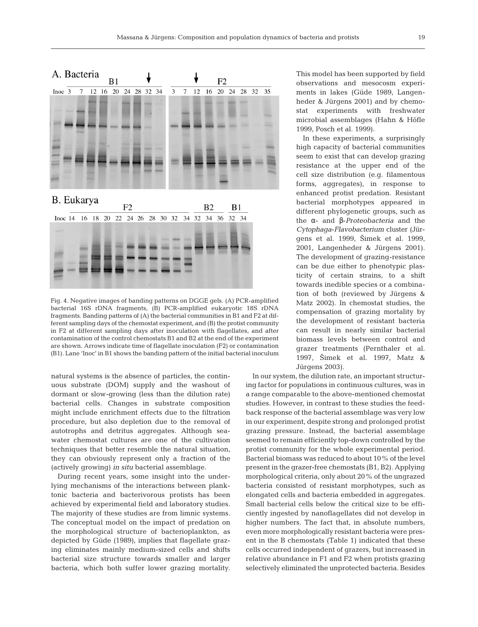

Fig. 4. Negative images of banding patterns on DGGE gels. (A) PCR-amplified bacterial 16S rDNA fragments, (B) PCR-amplified eukaryotic 18S rDNA fragments. Banding patterns of (A) the bacterial communities in B1 and F2 at different sampling days of the chemostat experiment, and (B) the protist community in F2 at different sampling days after inoculation with flagellates, and after contamination of the control chemostats B1 and B2 at the end of the experiment are shown. Arrows indicate time of flagellate inoculation (F2) or contamination (B1). Lane 'Inoc' in B1 shows the banding pattern of the initial bacterial inoculum

natural systems is the absence of particles, the continuous substrate (DOM) supply and the washout of dormant or slow-growing (less than the dilution rate) bacterial cells. Changes in substrate composition might include enrichment effects due to the filtration procedure, but also depletion due to the removal of autotrophs and detritus aggregates. Although seawater chemostat cultures are one of the cultivation techniques that better resemble the natural situation, they can obviously represent only a fraction of the (actively growing) *in situ* bacterial assemblage.

During recent years, some insight into the underlying mechanisms of the interactions between planktonic bacteria and bacterivorous protists has been achieved by experimental field and laboratory studies. The majority of these studies are from limnic systems. The conceptual model on the impact of predation on the morphological structure of bacterioplankton, as depicted by Güde (1989), implies that flagellate grazing eliminates mainly medium-sized cells and shifts bacterial size structure towards smaller and larger bacteria, which both suffer lower grazing mortality.

This model has been supported by field observations and mesocosm experiments in lakes (Güde 1989, Langenheder & Jürgens 2001) and by chemostat experiments with freshwater microbial assemblages (Hahn & Höfle 1999, Posch et al. 1999).

In these experiments, a surprisingly high capacity of bacterial communities seem to exist that can develop grazing resistance at the upper end of the cell size distribution (e.g. filamentous forms, aggregates), in response to enhanced protist predation. Resistant bacterial morphotypes appeared in different phylogenetic groups, such as the α- and β-*Proteobacteria* and the *Cytophaga*-*Flavobacterium* cluster (Jürgens et al. 1999, 2imek et al. 1999, 2001, Langenheder & Jürgens 2001). The development of grazing-resistance can be due either to phenotypic plasticity of certain strains, to a shift towards inedible species or a combination of both (reviewed by Jürgens & Matz 2002). In chemostat studies, the compensation of grazing mortality by the development of resistant bacteria can result in nearly similar bacterial biomass levels between control and grazer treatments (Pernthaler et al. 1997, 2imek et al. 1997, Matz & Jürgens 2003).

In our system, the dilution rate, an important structuring factor for populations in continuous cultures, was in a range comparable to the above-mentioned chemostat studies. However, in contrast to these studies the feedback response of the bacterial assemblage was very low in our experiment, despite strong and prolonged protist grazing pressure. Instead, the bacterial assemblage seemed to remain efficiently top-down controlled by the protist community for the whole experimental period. Bacterial biomass was reduced to about 10% of the level present in the grazer-free chemostats (B1, B2). Applying morphological criteria, only about 20% of the ungrazed bacteria consisted of resistant morphotypes, such as elongated cells and bacteria embedded in aggregates. Small bacterial cells below the critical size to be efficiently ingested by nanoflagellates did not develop in higher numbers. The fact that, in absolute numbers, even more morphologically resistant bacteria were present in the B chemostats (Table 1) indicated that these cells occurred independent of grazers, but increased in relative abundance in F1 and F2 when protists grazing selectively eliminated the unprotected bacteria. Besides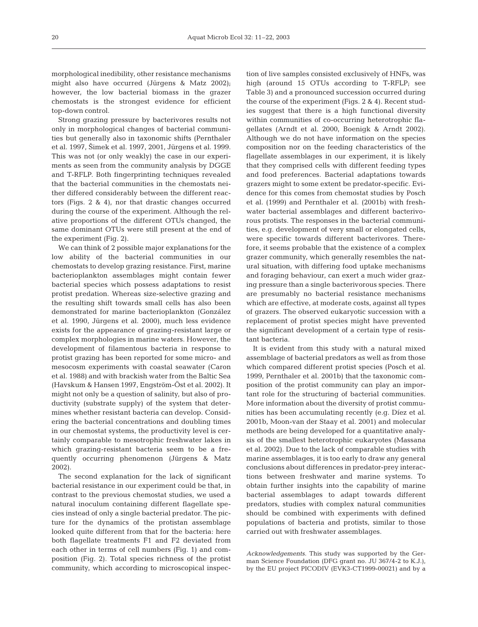morphological inedibility, other resistance mechanisms might also have occurred (Jürgens & Matz 2002); however, the low bacterial biomass in the grazer chemostats is the strongest evidence for efficient top-down control.

Strong grazing pressure by bacterivores results not only in morphological changes of bacterial communities but generally also in taxonomic shifts (Pernthaler et al. 1997, Šimek et al. 1997, 2001, Jürgens et al. 1999. This was not (or only weakly) the case in our experiments as seen from the community analysis by DGGE and T-RFLP. Both fingerprinting techniques revealed that the bacterial communities in the chemostats neither differed considerably between the different reactors (Figs. 2 & 4), nor that drastic changes occurred during the course of the experiment. Although the relative proportions of the different OTUs changed, the same dominant OTUs were still present at the end of the experiment (Fig. 2).

We can think of 2 possible major explanations for the low ability of the bacterial communities in our chemostats to develop grazing resistance. First, marine bacterioplankton assemblages might contain fewer bacterial species which possess adaptations to resist protist predation. Whereas size-selective grazing and the resulting shift towards small cells has also been demonstrated for marine bacterioplankton (González et al. 1990, Jürgens et al. 2000), much less evidence exists for the appearance of grazing-resistant large or complex morphologies in marine waters. However, the development of filamentous bacteria in response to protist grazing has been reported for some micro- and mesocosm experiments with coastal seawater (Caron et al. 1988) and with brackish water from the Baltic Sea (Havskum & Hansen 1997, Engström-Öst et al. 2002). It might not only be a question of salinity, but also of productivity (substrate supply) of the system that determines whether resistant bacteria can develop. Considering the bacterial concentrations and doubling times in our chemostat systems, the productivity level is certainly comparable to mesotrophic freshwater lakes in which grazing-resistant bacteria seem to be a frequently occurring phenomenon (Jürgens & Matz 2002).

The second explanation for the lack of significant bacterial resistance in our experiment could be that, in contrast to the previous chemostat studies, we used a natural inoculum containing different flagellate species instead of only a single bacterial predator. The picture for the dynamics of the protistan assemblage looked quite different from that for the bacteria: here both flagellate treatments F1 and F2 deviated from each other in terms of cell numbers (Fig. 1) and composition (Fig. 2). Total species richness of the protist community, which according to microscopical inspec-

tion of live samples consisted exclusively of HNFs, was high (around 15 OTUs according to T-RFLP; see Table 3) and a pronounced succession occurred during the course of the experiment (Figs. 2 & 4). Recent studies suggest that there is a high functional diversity within communities of co-occurring heterotrophic flagellates (Arndt et al. 2000, Boenigk & Arndt 2002). Although we do not have information on the species composition nor on the feeding characteristics of the flagellate assemblages in our experiment, it is likely that they comprised cells with different feeding types and food preferences. Bacterial adaptations towards grazers might to some extent be predator-specific. Evidence for this comes from chemostat studies by Posch et al. (1999) and Pernthaler et al. (2001b) with freshwater bacterial assemblages and different bacterivorous protists. The responses in the bacterial communities, e.g. development of very small or elongated cells, were specific towards different bacterivores. Therefore, it seems probable that the existence of a complex grazer community, which generally resembles the natural situation, with differing food uptake mechanisms and foraging behaviour, can exert a much wider grazing pressure than a single bacterivorous species. There are presumably no bacterial resistance mechanisms which are effective, at moderate costs, against all types of grazers. The observed eukaryotic succession with a replacement of protist species might have prevented the significant development of a certain type of resistant bacteria.

It is evident from this study with a natural mixed assemblage of bacterial predators as well as from those which compared different protist species (Posch et al. 1999, Pernthaler et al. 2001b) that the taxonomic composition of the protist community can play an important role for the structuring of bacterial communities. More information about the diversity of protist communities has been accumulating recently (e.g. Díez et al. 2001b, Moon-van der Staay et al. 2001) and molecular methods are being developed for a quantitative analysis of the smallest heterotrophic eukaryotes (Massana et al. 2002). Due to the lack of comparable studies with marine assemblages, it is too early to draw any general conclusions about differences in predator-prey interactions between freshwater and marine systems. To obtain further insights into the capability of marine bacterial assemblages to adapt towards different predators, studies with complex natural communities should be combined with experiments with defined populations of bacteria and protists, similar to those carried out with freshwater assemblages.

*Acknowledgements.* This study was supported by the German Science Foundation (DFG grant no. JU 367/4-2 to K.J.), by the EU project PICODIV (EVK3-CT1999-00021) and by a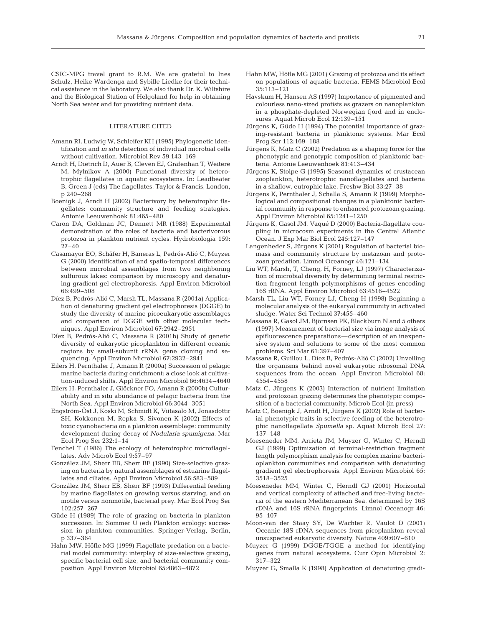CSIC-MPG travel grant to R.M. We are grateful to Ines Schulz, Heike Wardenga and Sybille Liedke for their technical assistance in the laboratory. We also thank Dr. K. Wiltshire and the Biological Station of Helgoland for help in obtaining North Sea water and for providing nutrient data.

#### LITERATURE CITED

- Amann RI, Ludwig W, Schleifer KH (1995) Phylogenetic identification and *in situ* detection of individual microbial cells without cultivation. Microbiol Rev 59:143–169
- Arndt H, Dietrich D, Auer B, Cleven EJ, Gräfenhan T, Weitere M, Mylnikov A (2000) Functional diversity of heterotrophic flagellates in aquatic ecosystems. In: Leadbeater B, Green J (eds) The flagellates. Taylor & Francis, London, p 240–268
- Boenigk J, Arndt H (2002) Bacterivory by heterotrophic flagellates: community structure and feeding strategies. Antonie Leeuwenhoek 81:465–480
- Caron DA, Goldman JC, Dennett MR (1988) Experimental demonstration of the roles of bacteria and bacterivorous protozoa in plankton nutrient cycles. Hydrobiologia 159:  $27 - 40$
- Casamayor EO, Schäfer H, Baneras L, Pedrós-Alió C, Muyzer G (2000) Identification of and spatio-temporal differences between microbial assemblages from two neighboring sulfurous lakes: comparison by microscopy and denaturing gradient gel electrophoresis. Appl Environ Microbiol 66:499–508
- Díez B, Pedrós-Alió C, Marsh TL, Massana R (2001a) Application of denaturing gradient gel electrophoresis (DGGE) to study the diversity of marine picoeukaryotic assemblages and comparison of DGGE with other molecular techniques. Appl Environ Microbiol 67:2942–2951
- Díez B, Pedrós-Alió C, Massana R (2001b) Study of genetic diversity of eukaryotic picoplankton in different oceanic regions by small-subunit rRNA gene cloning and sequencing. Appl Environ Microbiol 67:2932–2941
- Eilers H, Pernthaler J, Amann R (2000a) Succession of pelagic marine bacteria during enrichment: a close look at cultivation-induced shifts. Appl Environ Microbiol 66:4634–4640
- Eilers H, Pernthaler J, Glöckner FO, Amann R (2000b) Culturability and in situ abundance of pelagic bacteria from the North Sea. Appl Environ Microbiol 66:3044–3051
- Engström-Öst J, Koski M, Schmidt K, Viitasalo M, Jonasdottir SH, Kokkonen M, Repka S, Sivonen K (2002) Effects of toxic cyanobacteria on a plankton assemblage: community development during decay of *Nodularia spumigena*. Mar Ecol Prog Ser 232:1–14
- Fenchel T (1986) The ecology of heterotrophic microflagellates. Adv Microb Ecol 9:57–97
- González JM, Sherr EB, Sherr BF (1990) Size-selective grazing on bacteria by natural assemblages of estuarine flagellates and ciliates. Appl Environ Microbiol 56:583–589
- González JM, Sherr EB, Sherr BF (1993) Differential feeding by marine flagellates on growing versus starving, and on motile versus nonmotile, bacterial prey. Mar Ecol Prog Ser 102:257–267
- Güde H (1989) The role of grazing on bacteria in plankton succession. In: Sommer U (ed) Plankton ecology: succession in plankton communities. Springer-Verlag, Berlin, p 337–364
- Hahn MW, Höfle MG (1999) Flagellate predation on a bacterial model community: interplay of size-selective grazing, specific bacterial cell size, and bacterial community composition. Appl Environ Microbiol 65:4863–4872
- Hahn MW, Höfle MG (2001) Grazing of protozoa and its effect on populations of aquatic bacteria. FEMS Microbiol Ecol 35:113–121
- Havskum H, Hansen AS (1997) Importance of pigmented and colourless nano-sized protists as grazers on nanoplankton in a phosphate-depleted Norwegian fjord and in enclosures. Aquat Microb Ecol 12:139–151
- Jürgens K, Güde H (1994) The potential importance of grazing-resistant bacteria in planktonic systems. Mar Ecol Prog Ser 112:169–188
- Jürgens K, Matz C (2002) Predation as a shaping force for the phenotypic and genotypic composition of planktonic bacteria. Antonie Leeuwenhoek 81:413–434
- Jürgens K, Stolpe G (1995) Seasonal dynamics of crustacean zooplankton, heterotrophic nanoflagellates and bacteria in a shallow, eutrophic lake. Freshw Biol 33:27–38
- Jürgens K, Pernthaler J, Schalla S, Amann R (1999) Morphological and compositional changes in a planktonic bacterial community in response to enhanced protozoan grazing. Appl Environ Microbiol 65:1241–1250
- Jürgens K, Gasol JM, Vaqué D (2000) Bacteria-flagellate coupling in microcosm experiments in the Central Atlantic Ocean. J Exp Mar Biol Ecol 245:127–147
- Langenheder S, Jürgens K (2001) Regulation of bacterial biomass and community structure by metazoan and protozoan predation. Limnol Oceanogr 46:121–134
- Liu WT, Marsh, T, Cheng, H, Forney, LJ (1997) Characterization of microbial diversity by determining terminal restriction fragment length polymorphisms of genes encoding 16S rRNA. Appl Environ Microbiol 63:4516–4522
- Marsh TL, Liu WT, Forney LJ, Cheng H (1998) Beginning a molecular analysis of the eukaryal community in activated sludge. Water Sci Technol 37:455–460
- Massana R, Gasol JM, Björnsen PK, Blackburn N and 5 others (1997) Measurement of bacterial size via image analysis of epifluorescence preparations—description of an inexpensive system and solutions to some of the most common problems. Sci Mar 61:397–407
- Massana R, Guillou L, Díez B, Pedrós-Alió C (2002) Unveiling the organisms behind novel eukaryotic ribosomal DNA sequences from the ocean. Appl Environ Microbiol 68: 4554–4558
- Matz C, Jürgens K (2003) Interaction of nutrient limitation and protozoan grazing determines the phenotypic composition of a bacterial community. Microb Ecol (in press)
- Matz C, Boenigk J, Arndt H, Jürgens K (2002) Role of bacterial phenotypic traits in selective feeding of the heterotrophic nanoflagellate *Spumella* sp. Aquat Microb Ecol 27: 137–148
- Moeseneder MM, Arrieta JM, Muyzer G, Winter C, Herndl GJ (1999) Optimization of terminal-restriction fragment length polymorphism analysis for complex marine bacterioplankton communities and comparison with denaturing gradient gel electrophoresis. Appl Environ Microbiol 65: 3518–3525
- Moeseneder MM, Winter C, Herndl GJ (2001) Horizontal and vertical complexity of attached and free-living bacteria of the eastern Mediterranean Sea, determined by 16S rDNA and 16S rRNA fingerprints. Limnol Oceanogr 46: 95–107
- Moon-van der Staay SY, De Wachter R, Vaulot D (2001) Oceanic 18S rDNA sequences from picoplankton reveal unsuspected eukaryotic diversity. Nature 409:607–610
- Muyzer G (1999) DGGE/TGGE a method for identifying genes from natural ecosystems. Curr Opin Microbiol 2: 317–322
- Muyzer G, Smalla K (1998) Application of denaturing gradi-